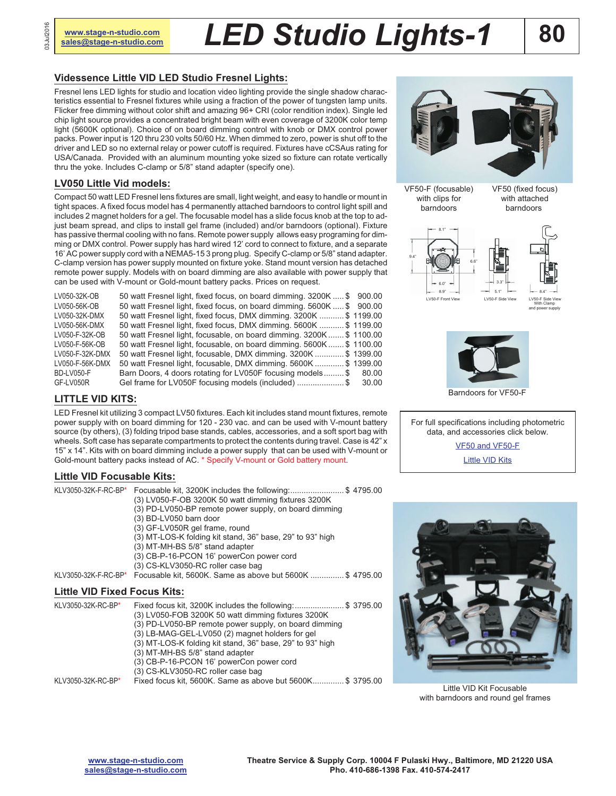# **[sales@stage-n-studio.com](mailto:sales@stage-n-studio.com)** *LED Studio Lights-1*

#### **Videssence Little VID LED Studio Fresnel Lights:**

Fresnel lens LED lights for studio and location video lighting provide the single shadow characteristics essential to Fresnel fixtures while using a fraction of the power of tungsten lamp units. Flicker free dimming without color shift and amazing 96+ CRI (color rendition index). Single led chip light source provides a concentrated bright beam with even coverage of 3200K color temp light (5600K optional). Choice of on board dimming control with knob or DMX control power packs. Power input is 120 thru 230 volts 50/60 Hz. When dimmed to zero, power is shut off to the driver and LED so no external relay or power cutoff is required. Fixtures have cCSAus rating for USA/Canada. Provided with an aluminum mounting yoke sized so fixture can rotate vertically thru the yoke. Includes C-clamp or 5/8" stand adapter (specify one).

#### **LV050 Little Vid models:**

Compact 50 watt LED Fresnel lens fixtures are small, light weight, and easy to handle or mount in tight spaces. A fixed focus model has 4 permanently attached barndoors to control light spill and includes 2 magnet holders for a gel. The focusable model has a slide focus knob at the top to adjust beam spread, and clips to install gel frame (included) and/or barndoors (optional). Fixture has passive thermal cooling with no fans. Remote power supply allows easy programing for dimming or DMX control. Power supply has hard wired 12' cord to connect to fixture, and a separate 16' AC power supply cord with a NEMA5-15 3 prong plug. Specify C-clamp or 5/8" stand adapter. C-clamp version has power supply mounted on fixture yoke. Stand mount version has detached remote power supply. Models with on board dimming are also available with power supply that can be used with V-mount or Gold-mount battery packs. Prices on request.

| 50 watt Fresnel light, fixed focus, on board dimming. 3200K  \$ 900.00 |  |
|------------------------------------------------------------------------|--|
| 50 watt Fresnel light, fixed focus, on board dimming. 5600K  \$900.00  |  |
| 50 watt Fresnel light, fixed focus, DMX dimming. 3200K  \$ 1199.00     |  |
| 50 watt Fresnel light, fixed focus, DMX dimming. 5600K  \$1199.00      |  |
| 50 watt Fresnel light, focusable, on board dimming. 3200K \$1100.00    |  |
| 50 watt Fresnel light, focusable, on board dimming. 5600K \$1100.00    |  |
| 50 watt Fresnel light, focusable, DMX dimming. 3200K \$ 1399.00        |  |
| 50 watt Fresnel light, focusable, DMX dimming. 5600K  \$ 1399.00       |  |
| Barn Doors, 4 doors rotating for LV050F focusing models \$ 80.00       |  |
| Gel frame for LV050F focusing models (included) \$ 30.00               |  |
|                                                                        |  |

#### **LITTLE VID KITS:**

LED Fresnel kit utilizing 3 compact LV50 fixtures. Each kit includes stand mount fixtures, remote power supply with on board dimming for 120 - 230 vac. and can be used with V-mount battery source (by others), (3) folding tripod base stands, cables, accessories, and a soft sport bag with wheels. Soft case has separate compartments to protect the contents during travel. Case is 42" x 15" x 14". Kits with on board dimming include a power supply that can be used with V-mount or Gold-mount battery packs instead of AC. \* Specify V-mount or Gold battery mount.

#### **Little VID Focusable Kits:**

| KLV3050-32K-F-RC-BP*                | KLV3050-32K-F-RC-BP* Focusable kit, 3200K includes the following:\$ 4795.00<br>(3) LV050-F-OB 3200K 50 watt dimming fixtures 3200K<br>(3) PD-LV050-BP remote power supply, on board dimming<br>(3) BD-LV050 barn door<br>(3) GF-LV050R gel frame, round<br>(3) MT-LOS-K folding kit stand, 36" base, 29" to 93" high<br>(3) MT-MH-BS 5/8" stand adapter<br>(3) CB-P-16-PCON 16' powerCon power cord<br>(3) CS-KLV3050-RC roller case bag<br>Focusable kit, 5600K. Same as above but 5600K \$ 4795.00 |
|-------------------------------------|------------------------------------------------------------------------------------------------------------------------------------------------------------------------------------------------------------------------------------------------------------------------------------------------------------------------------------------------------------------------------------------------------------------------------------------------------------------------------------------------------|
| <b>Little VID Fixed Focus Kits:</b> |                                                                                                                                                                                                                                                                                                                                                                                                                                                                                                      |
| KLV3050-32K-RC-BP*                  | Fixed focus kit, 3200K includes the following:\$ 3795.00<br>(3) LV050-FOB 3200K 50 watt dimming fixtures 3200K                                                                                                                                                                                                                                                                                                                                                                                       |

| וע־טרו־טבע־טטעטע   |                                                             |
|--------------------|-------------------------------------------------------------|
|                    | (3) LV050-FOB 3200K 50 watt dimming fixtures 3200K          |
|                    | (3) PD-LV050-BP remote power supply, on board dimming       |
|                    | (3) LB-MAG-GEL-LV050 (2) magnet holders for gel             |
|                    | $(3)$ MT-LOS-K folding kit stand, 36" base, 29" to 93" high |
|                    | (3) MT-MH-BS 5/8" stand adapter                             |
|                    | (3) CB-P-16-PCON 16' powerCon power cord                    |
|                    | (3) CS-KLV3050-RC roller case bag                           |
| KLV3050-32K-RC-BP* | Fixed focus kit, 5600K. Same as above but 5600K\$ 3795.00   |
|                    |                                                             |



VF50-F (focusable) with clips for barndoors

VF50 (fixed focus) with attached barndoors





LV50-F Side View With Clamp and power supply



Barndoors for VF50-F

For full specifications including photometric data, and accessories click below.

> [VF50 and VF50-F](http://www.videssence.com/pdf/LV050.pdf) **[Little VID Kits](http://www.videssence.com/pdf/Little_Vidkits.pdf)**



Little VID Kit Focusable with barndoors and round gel frames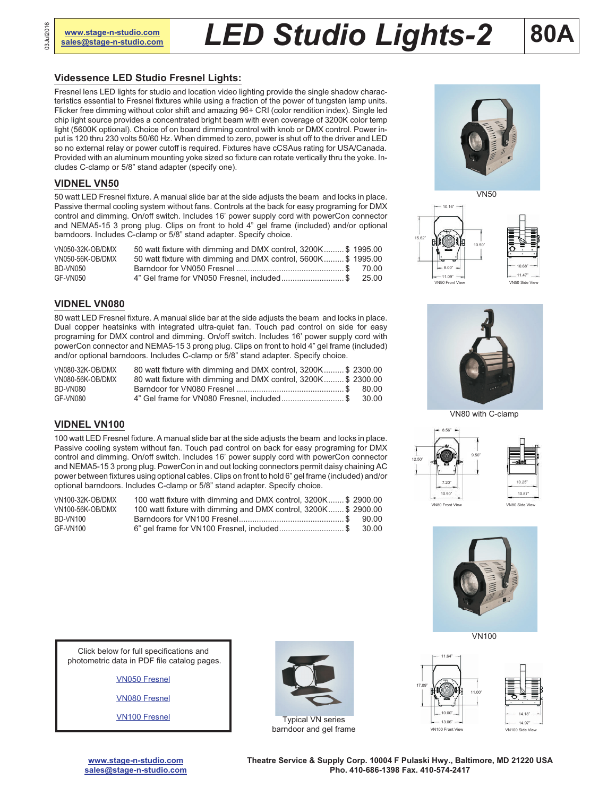# **MANDING A STRUM CONTROLLY AND A STAGE-N-Studio.com** *LED Studio**Lights-2* **80**

## **Videssence LED Studio Fresnel Lights:**

Fresnel lens LED lights for studio and location video lighting provide the single shadow characteristics essential to Fresnel fixtures while using a fraction of the power of tungsten lamp units. Flicker free dimming without color shift and amazing 96+ CRI (color rendition index). Single led chip light source provides a concentrated bright beam with even coverage of 3200K color temp light (5600K optional). Choice of on board dimming control with knob or DMX control. Power input is 120 thru 230 volts 50/60 Hz. When dimmed to zero, power is shut off to the driver and LED so no external relay or power cutoff is required. Fixtures have cCSAus rating for USA/Canada. Provided with an aluminum mounting yoke sized so fixture can rotate vertically thru the yoke. Includes C-clamp or 5/8" stand adapter (specify one).

#### **VIDNEL VN50**

50 watt LED Fresnel fixture. A manual slide bar at the side adjusts the beam and locks in place. Passive thermal cooling system without fans. Controls at the back for easy programing for DMX control and dimming. On/off switch. Includes 16' power supply cord with powerCon connector and NEMA5-15 3 prong plug. Clips on front to hold 4" gel frame (included) and/or optional barndoors. Includes C-clamp or 5/8" stand adapter. Specify choice.

| VN050-32K-OB/DMX | 50 watt fixture with dimming and DMX control, 3200K\$ 1995.00 |  |
|------------------|---------------------------------------------------------------|--|
| VN050-56K-OB/DMX | 50 watt fixture with dimming and DMX control, 5600K\$ 1995.00 |  |
| BD-VN050         |                                                               |  |
| GF-VN050         | 4" Gel frame for VN050 Fresnel, included\$ 25.00              |  |

#### **VIDNEL VN080**

80 watt LED Fresnel fixture. A manual slide bar at the side adjusts the beam and locks in place. Dual copper heatsinks with integrated ultra-quiet fan. Touch pad control on side for easy programing for DMX control and dimming. On/off switch. Includes 16' power supply cord with powerCon connector and NEMA5-15 3 prong plug. Clips on front to hold 4" gel frame (included) and/or optional barndoors. Includes C-clamp or 5/8" stand adapter. Specify choice.

| VN080-32K-OB/DMX | 80 watt fixture with dimming and DMX control, 3200K\$ 2300.00 |  |
|------------------|---------------------------------------------------------------|--|
| VN080-56K-OB/DMX | 80 watt fixture with dimming and DMX control, 3200K\$ 2300.00 |  |
| BD-VN080         |                                                               |  |
| GF-VN080         | 4" Gel frame for VN080 Fresnel, included \$ 30.00             |  |

#### **VIDNEL VN100**

100 watt LED Fresnel fixture. A manual slide bar at the side adjusts the beam and locks in place. Passive cooling system without fan. Touch pad control on back for easy programing for DMX control and dimming. On/off switch. Includes 16' power supply cord with powerCon connector and NEMA5-15 3 prong plug. PowerCon in and out locking connectors permit daisy chaining AC power between fixtures using optional cables. Clips on front to hold 6" gel frame (included) and/or optional barndoors. Includes C-clamp or 5/8" stand adapter. Specify choice.

| VN100-32K-OB/DMX | 100 watt fixture with dimming and DMX control, 3200K \$2900.00  |  |
|------------------|-----------------------------------------------------------------|--|
| VN100-56K-OB/DMX | 100 watt fixture with dimming and DMX control, 3200K \$ 2900.00 |  |
| BD-VN100         |                                                                 |  |
| GF-VN100         | 6" gel frame for VN100 Fresnel, included\$ 30.00                |  |











VN80 with C-clamp







[VN050 Fresnel](http://www.videssence.com/pdf/VN050.pdf)

[VN080 Fresnel](http://www.videssence.com/pdf/VF100.pdf)

Click below for full specifications and photometric data in PDF file catalog pages.

[VN100 Fresnel](http://www.videssence.com/pdf/VN150.pdf)



barndoor and gel frame

VN100 Front View VN100 Side V

**[www.stage-n-studio.com](http://www.stage-n-studio.com) [sales@stage-n-studio.com](mailto:sales@stage-n-studio.com)** **Theatre Service & Supply Corp. 10004 F Pulaski Hwy., Baltimore, MD 21220 USA Pho. 410-686-1398 Fax. 410-574-2417**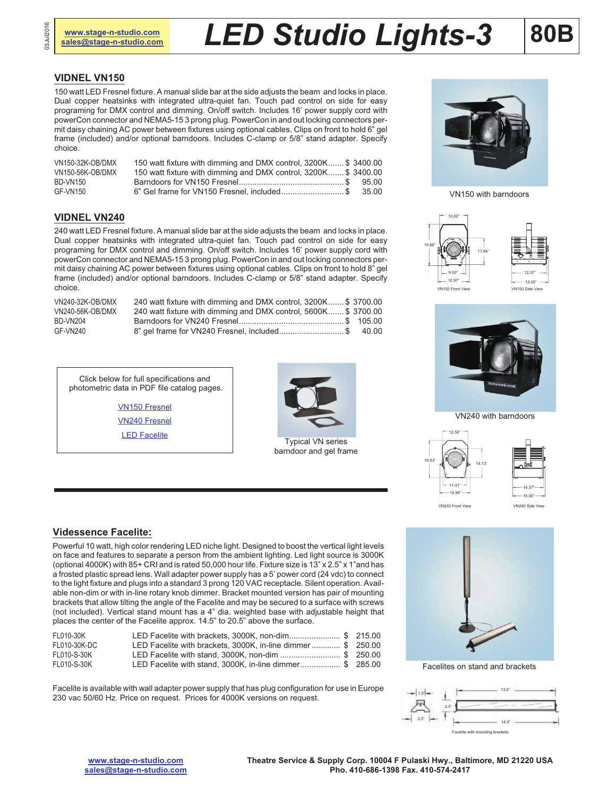## **[www.stage-n-studio.com](http://www.stage-n-studio.com)** *LED Studio* **Lights-3 80B**

#### **VIDNEL VN150**

150 watt LED Fresnel fixture. A manual slide bar at the side adjusts the beam and locks in place. Dual copper heatsinks with integrated ultra-quiet fan. Touch pad control on side for easy programing for DMX control and dimming. On/off switch. Includes 16' power supply cord with powerCon connector and NEMA5-15 3 prong plug. PowerCon in and out locking connectors permit daisy chaining AC power between fixtures using optional cables. Clips on front to hold 6" gel frame (included) and/or optional barndoors. Includes C-clamp or 5/8" stand adapter. Specify choice.

| VN150-32K-OB/DMX | 150 watt fixture with dimming and DMX control, 3200K \$ 3400.00 |  |
|------------------|-----------------------------------------------------------------|--|
| VN150-56K-OB/DMX | 150 watt fixture with dimming and DMX control, 3200K \$3400.00  |  |
| BD-VN150         |                                                                 |  |
| GF-VN150         |                                                                 |  |

#### **VIDNEL VN240**

240 watt LED Fresnel fixture. A manual slide bar at the side adjusts the beam and locks in place. Dual copper heatsinks with integrated ultra-quiet fan. Touch pad control on side for easy programing for DMX control and dimming. On/off switch. Includes 16' power supply cord with powerCon connector and NEMA5-15 3 prong plug. PowerCon in and out locking connectors permit daisy chaining AC power between fixtures using optional cables. Clips on front to hold 8" gel frame (included) and/or optional barndoors. Includes C-clamp or 5/8" stand adapter. Specify choice.

| VN240-32K-OB/DMX | 240 watt fixture with dimming and DMX control, 3200K \$3700.00 |  |
|------------------|----------------------------------------------------------------|--|
| VN240-56K-OB/DMX | 240 watt fixture with dimming and DMX control, 5600K \$3700.00 |  |
| BD-VN204         |                                                                |  |
| GF-VN240         |                                                                |  |

Click below for full specifications and photometric data in PDF file catalog pages.

> [VN150 Fresnel](http://www.videssence.com/pdf/VN150.pdf) [VN240 Fresnel](http://) **[LED Facelite](http://www.videssence.com/pdf/FL010.pdf)**



Typical VN series barndoor and gel frame



Powerful 10 watt, high color rendering LED niche light. Designed to boost the vertical light levels on face and features to separate a person from the ambient lighting. Led light source is 3000K (optional 4000K) with 85+ CRI and is rated 50,000 hour life. Fixture size is 13" x 2.5" x 1"and has a frosted plastic spread lens. Wall adapter power supply has a 5' power cord (24 vdc) to connect to the light fixture and plugs into a standard 3 prong 120 VAC receptacle. Silent operation. Available non-dim or with in-line rotary knob dimmer. Bracket mounted version has pair of mounting brackets that allow tilting the angle of the Facelite and may be secured to a surface with screws (not included). Vertical stand mount has a 4" dia. weighted base with adjustable height that places the center of the Facelite approx. 14.5" to 20.5" above the surface.

| FL010-30K    | LED Facelite with brackets, 3000K, non-dim \$ 215.00        |  |
|--------------|-------------------------------------------------------------|--|
| FL010-30K-DC | LED Facelite with brackets, 3000K, in-line dimmer \$ 250.00 |  |
| FL010-S-30K  | LED Facelite with stand, 3000K, non-dim  \$ 250.00          |  |
| FL010-S-30K  | LED Facelite with stand, 3000K, in-line dimmer \$ 285.00    |  |

Facelite is available with wall adapter power supply that has plug configuration for use in Europe 230 vac 50/60 Hz. Price on request. Prices for 4000K versions on request.



VN150 with barndoors





VN240 with barndoors









Facelites on stand and brackets